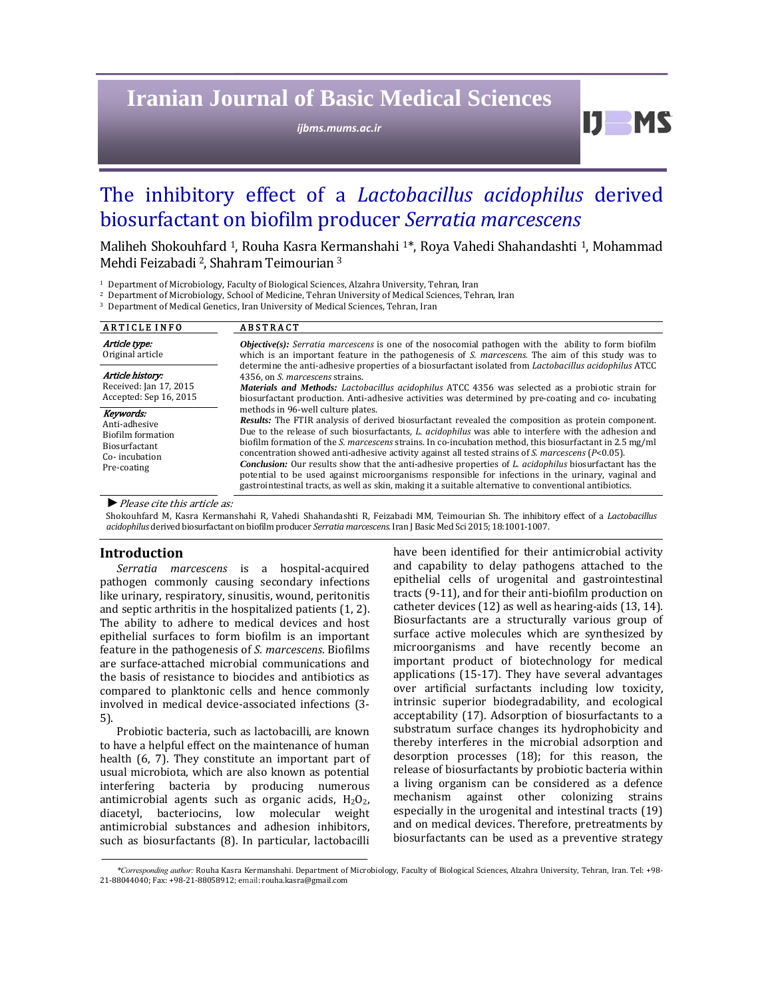# **Iranian Journal of Basic Medical Sciences**

*ijbms.mums.ac.ir*

 $IJ$  MS

## The inhibitory effect of a *Lactobacillus acidophilus* derived biosurfactant on biofilm producer *Serratia marcescens*

Maliheh Shokouhfard<sup>1</sup>, Rouha Kasra Kermanshahi<sup>1\*</sup>, Roya Vahedi Shahandashti<sup>1</sup>, Mohammad Mehdi Feizabadi <sup>2</sup>, Shahram Teimourian<sup>3</sup>

<sup>2</sup> Department of Microbiology, School of Medicine, Tehran University of Medical Sciences, Tehran, Iran

<sup>3</sup> Department of Medical Genetics, Iran University of Medical Sciences, Tehran, Iran

| <b>ARTICLE INFO</b>                                                                                     | <b>ABSTRACT</b>                                                                                                                                                                                                                                                                                                                                                                                                                                                                                                                                                                                                                                                                                                                                                                                                 |  |  |
|---------------------------------------------------------------------------------------------------------|-----------------------------------------------------------------------------------------------------------------------------------------------------------------------------------------------------------------------------------------------------------------------------------------------------------------------------------------------------------------------------------------------------------------------------------------------------------------------------------------------------------------------------------------------------------------------------------------------------------------------------------------------------------------------------------------------------------------------------------------------------------------------------------------------------------------|--|--|
| Article type:<br>Original article                                                                       | <b><i>Objective(s):</i></b> Serratia marcescens is one of the nosocomial pathogen with the ability to form biofilm<br>which is an important feature in the pathogenesis of S. marcescens. The aim of this study was to                                                                                                                                                                                                                                                                                                                                                                                                                                                                                                                                                                                          |  |  |
| Article history:<br>Received: Jan 17, 2015<br>Accepted: Sep 16, 2015                                    | determine the anti-adhesive properties of a biosurfactant isolated from <i>Lactobacillus acidophilus</i> ATCC<br>4356, on S. marcescens strains.<br><b>Materials and Methods:</b> Lactobacillus acidophilus ATCC 4356 was selected as a probiotic strain for<br>biosurfactant production. Anti-adhesive activities was determined by pre-coating and co- incubating                                                                                                                                                                                                                                                                                                                                                                                                                                             |  |  |
| Keywords:<br>Anti-adhesive<br>Biofilm formation<br><b>Biosurfactant</b><br>Co-incubation<br>Pre-coating | methods in 96-well culture plates.<br><b>Results:</b> The FTIR analysis of derived biosurfactant revealed the composition as protein component.<br>Due to the release of such biosurfactants, L. acidophilus was able to interfere with the adhesion and<br>biofilm formation of the S. marcescens strains. In co-incubation method, this biosurfactant in 2.5 mg/ml<br>concentration showed anti-adhesive activity against all tested strains of S. marcescens ( $P<0.05$ ).<br><b>Conclusion:</b> Our results show that the anti-adhesive properties of L. acidophilus biosurfactant has the<br>potential to be used against microorganisms responsible for infections in the urinary, vaginal and<br>gastrointestinal tracts, as well as skin, making it a suitable alternative to conventional antibiotics. |  |  |

▶ *Please cite this article as:* 

Shokouhfard M, Kasra Kermanshahi R, Vahedi Shahandashti R, Feizabadi MM, Teimourian Sh. The inhibitory effect of a *Lactobacillus acidophilus* derived biosurfactant on biofilm producer *Serratia marcescens*. Iran J Basic Med Sci 2015; 18:1001-1007.

#### **Introduction**

*Serratia marcescens* is a hospital‐acquired pathogen commonly causing secondary infections like urinary, respiratory, sinusitis, wound, peritonitis and septic arthritis in the hospitalized patients  $(1, 2)$ . The ability to adhere to medical devices and host epithelial surfaces to form biofilm is an important feature in the pathogenesis of *S. marcescens*. Biofilms are surface-attached microbial communications and the basis of resistance to biocides and antibiotics as compared to planktonic cells and hence commonly involved in medical device-associated infections (3-5). 

Probiotic bacteria, such as lactobacilli, are known to have a helpful effect on the maintenance of human health (6, 7). They constitute an important part of usual microbiota, which are also known as potential interfering bacteria by producing numerous antimicrobial agents such as organic acids,  $H_2O_2$ , diacetyl, bacteriocins, low molecular weight antimicrobial substances and adhesion inhibitors, such as biosurfactants (8). In particular, lactobacilli

have been identified for their antimicrobial activity and capability to delay pathogens attached to the epithelial cells of urogenital and gastrointestinal tracts  $(9-11)$ , and for their anti-biofilm production on catheter devices  $(12)$  as well as hearing-aids  $(13, 14)$ . Biosurfactants are a structurally various group of surface active molecules which are synthesized by microorganisms and have recently become an important product of biotechnology for medical applications  $(15-17)$ . They have several advantages over artificial surfactants including low toxicity, intrinsic superior biodegradability, and ecological acceptability (17). Adsorption of biosurfactants to a substratum surface changes its hydrophobicity and thereby interferes in the microbial adsorption and desorption processes (18); for this reason, the release of biosurfactants by probiotic bacteria within a living organism can be considered as a defence mechanism against other colonizing strains especially in the urogenital and intestinal tracts (19) and on medical devices. Therefore, pretreatments by biosurfactants can be used as a preventive strategy

*\*Corresponding author:* Rouha Kasra Kermanshahi. Department of Microbiology, Faculty of Biological Sciences, Alzahra University, Tehran, Iran. Tel: +98‐ 21-88044040; Fax: +98-21-88058912; email: rouha.kasra@gmail.com

<sup>&</sup>lt;sup>1</sup> Department of Microbiology, Faculty of Biological Sciences, Alzahra University, Tehran, Iran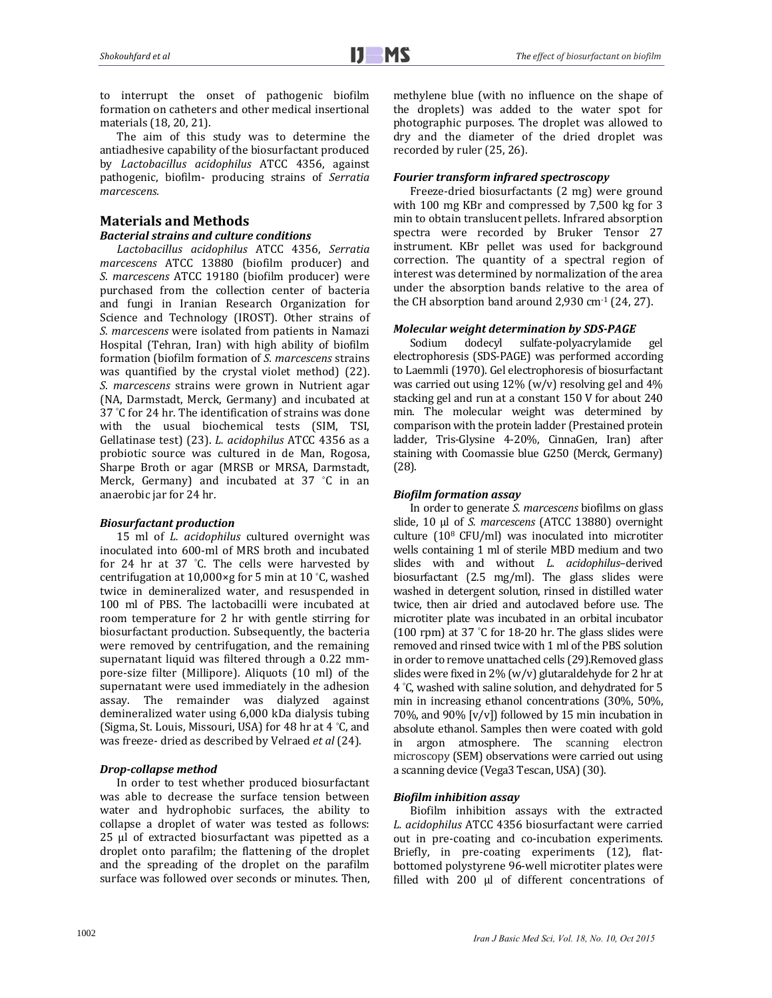to interrupt the onset of pathogenic biofilm formation on catheters and other medical insertional materials (18, 20, 21).

The aim of this study was to determine the antiadhesive capability of the biosurfactant produced by *Lactobacillus acidophilus* ATCC 4356, against pathogenic, biofilm‐ producing strains of *Serratia marcescens.*

## **Materials and Methods**

## *Bacterial strains and culture conditions*

*Lactobacillus acidophilus* ATCC 4356, *Serratia marcescens* ATCC 13880 (biofilm producer) and *S. marcescens* ATCC 19180 (biofilm producer) were purchased from the collection center of bacteria and fungi in Iranian Research Organization for Science and Technology (IROST). Other strains of *S. marcescens* were isolated from patients in Namazi Hospital (Tehran, Iran) with high ability of biofilm formation (biofilm formation of *S. marcescens* strains was quantified by the crystal violet method) (22). *S. marcescens* strains were grown in Nutrient agar (NA, Darmstadt, Merck, Germany) and incubated at 37 °C for 24 hr. The identification of strains was done with the usual biochemical tests (SIM, TSI, Gellatinase test) (23). *L. acidophilus* ATCC 4356 as a probiotic source was cultured in de Man, Rogosa, Sharpe Broth or agar (MRSB or MRSA, Darmstadt, Merck, Germany) and incubated at  $37$  °C in an anaerobic jar for 24 hr.

## *Biosurfactant production*

15 ml of *L. acidophilus* cultured overnight was inoculated into 600-ml of MRS broth and incubated for 24 hr at  $37$  °C. The cells were harvested by centrifugation at 10,000 $\times$ g for 5 min at 10 °C, washed twice in demineralized water, and resuspended in 100 ml of PBS. The lactobacilli were incubated at room temperature for 2 hr with gentle stirring for biosurfactant production. Subsequently, the bacteria were removed by centrifugation, and the remaining supernatant liquid was filtered through a 0.22 mmpore-size filter (Millipore). Aliquots (10 ml) of the supernatant were used immediately in the adhesion assay. The remainder was dialyzed against demineralized water using 6,000 kDa dialysis tubing (Sigma, St. Louis, Missouri, USA) for 48 hr at 4 °C, and was freeze- dried as described by Velraed et al (24).

## *Drop‐collapse method*

In order to test whether produced biosurfactant was able to decrease the surface tension between water and hydrophobic surfaces, the ability to collapse a droplet of water was tested as follows:  $25$   $\mu$ l of extracted biosurfactant was pipetted as a droplet onto parafilm; the flattening of the droplet and the spreading of the droplet on the parafilm surface was followed over seconds or minutes. Then, methylene blue (with no influence on the shape of the droplets) was added to the water spot for photographic purposes. The droplet was allowed to dry and the diameter of the dried droplet was recorded by ruler (25, 26).

## *Fourier transform infrared spectroscopy*

Freeze-dried biosurfactants (2 mg) were ground with 100 mg KBr and compressed by 7,500 kg for 3 min to obtain translucent pellets. Infrared absorption spectra were recorded by Bruker Tensor 27 instrument. KBr pellet was used for background correction. The quantity of a spectral region of interest was determined by normalization of the area under the absorption bands relative to the area of the CH absorption band around  $2,930$  cm<sup>-1</sup> (24, 27).

## *Molecular weight determination by SDS‐PAGE*

Sodium dodecyl sulfate-polyacrylamide gel electrophoresis (SDS-PAGE) was performed according to Laemmli (1970). Gel electrophoresis of biosurfactant was carried out using  $12\%$  (w/v) resolving gel and  $4\%$ stacking gel and run at a constant 150 V for about 240 min. The molecular weight was determined by comparison with the protein ladder (Prestained protein ladder, Tris-Glysine 4-20%, CinnaGen, Iran) after staining with Coomassie blue G250 (Merck, Germany) (28). 

## *Biofilm formation assay*

In order to generate *S. marcescens* biofilms on glass slide, 10 μl of *S. marcescens* (ATCC 13880) overnight culture  $(10^8 \text{ CFU/ml})$  was inoculated into microtiter wells containing 1 ml of sterile MBD medium and two slides with and without *L. acidophilus*-derived biosurfactant  $(2.5 \text{ mg/ml})$ . The glass slides were washed in detergent solution, rinsed in distilled water twice, then air dried and autoclaved before use. The microtiter plate was incubated in an orbital incubator (100 rpm) at 37  $°C$  for 18-20 hr. The glass slides were removed and rinsed twice with 1 ml of the PBS solution in order to remove unattached cells (29).Removed glass slides were fixed in  $2\%$  (w/v) glutaraldehyde for 2 hr at 4 °C, washed with saline solution, and dehydrated for 5 min in increasing ethanol concentrations (30%, 50%, 70%, and 90%  $[v/v]$  followed by 15 min incubation in absolute ethanol. Samples then were coated with gold in argon atmosphere. The scanning electron microscopy (SEM) observations were carried out using a scanning device (Vega3 Tescan, USA) (30).

## *Biofilm inhibition assay*

Biofilm inhibition assays with the extracted *L. acidophilus* ATCC 4356 biosurfactant were carried out in pre-coating and co-incubation experiments. Briefly, in pre-coating experiments (12), flatbottomed polystyrene 96-well microtiter plates were filled with 200 µl of different concentrations of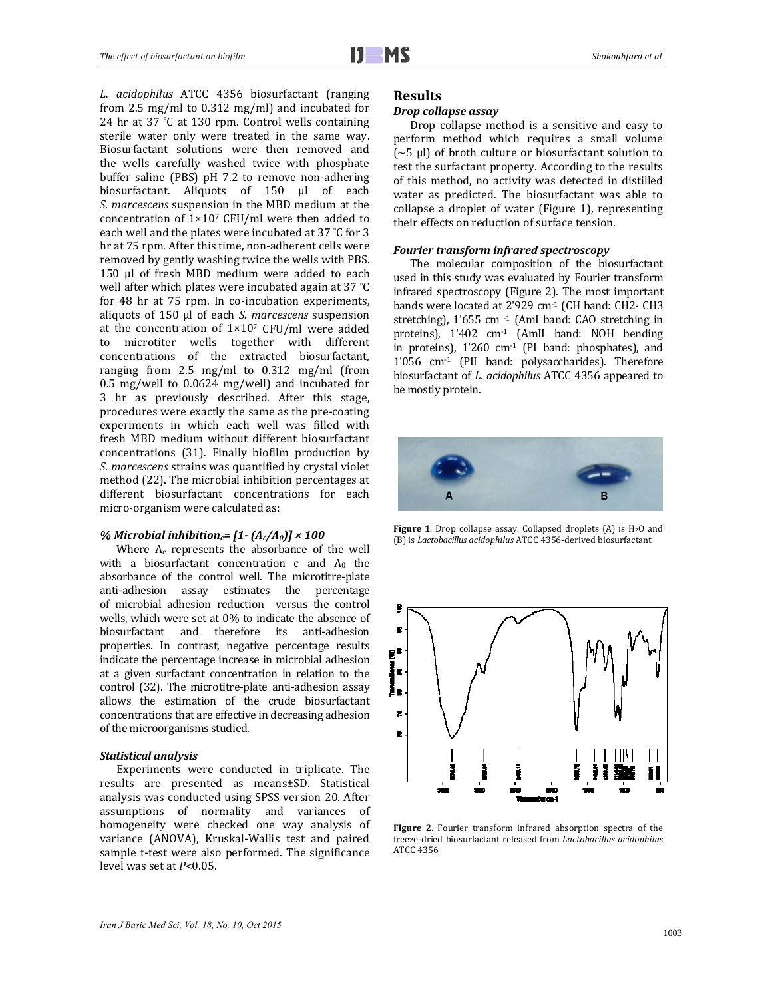*L. acidophilus* ATCC 4356 biosurfactant (ranging from 2.5 mg/ml to  $0.312$  mg/ml) and incubated for 24 hr at 37 °C at 130 rpm. Control wells containing sterile water only were treated in the same way. Biosurfactant solutions were then removed and the wells carefully washed twice with phosphate buffer saline (PBS) pH 7.2 to remove non-adhering biosurfactant. Aliquots of 150 µl of each *S. marcescens* suspension in the MBD medium at the concentration of  $1\times10^7$  CFU/ml were then added to each well and the plates were incubated at 37 °C for 3 hr at 75 rpm. After this time, non-adherent cells were removed by gently washing twice the wells with PBS. 150 µl of fresh MBD medium were added to each well after which plates were incubated again at 37 $°C$ for 48 hr at 75 rpm. In co-incubation experiments, aliquots of 150 µl of each *S. marcescens* suspension at the concentration of  $1\times10^7$  CFU/ml were added to microtiter wells together with different concentrations of the extracted biosurfactant, ranging from  $2.5 \text{ mg/ml}$  to  $0.312 \text{ mg/ml}$  (from  $0.5$  mg/well to  $0.0624$  mg/well) and incubated for 3 hr as previously described. After this stage, procedures were exactly the same as the pre-coating experiments in which each well was filled with fresh MBD medium without different biosurfactant concentrations (31). Finally biofilm production by *S. marcescens* strains was quantified by crystal violet method (22). The microbial inhibition percentages at different biosurfactant concentrations for each micro-organism were calculated as:

#### *% Microbial inhibitionc= [1‐ (Ac/A0)] × 100*

Where  $A_c$  represents the absorbance of the well with a biosurfactant concentration  $c$  and  $A_0$  the absorbance of the control well. The microtitre-plate anti-adhesion assay estimates the percentage of microbial adhesion reduction versus the control wells, which were set at 0% to indicate the absence of biosurfactant and therefore its anti‐adhesion properties. In contrast, negative percentage results indicate the percentage increase in microbial adhesion at a given surfactant concentration in relation to the control (32). The microtitre-plate anti-adhesion assay allows the estimation of the crude biosurfactant concentrations that are effective in decreasing adhesion of the microorganisms studied.

#### *Statistical analysis*

Experiments were conducted in triplicate. The results are presented as means±SD. Statistical analysis was conducted using SPSS version 20. After assumptions of normality and variances of homogeneity were checked one way analysis of variance (ANOVA), Kruskal-Wallis test and paired sample t-test were also performed. The significance level was set at *P*<0.05.

## **Results**

## *Drop collapse assay*

Drop collapse method is a sensitive and easy to perform method which requires a small volume  $({\sim}5 \mu l)$  of broth culture or biosurfactant solution to test the surfactant property. According to the results of this method, no activity was detected in distilled water as predicted. The biosurfactant was able to collapse a droplet of water (Figure 1), representing their effects on reduction of surface tension.

#### *Fourier transform infrared spectroscopy*

The molecular composition of the biosurfactant used in this study was evaluated by Fourier transform infrared spectroscopy (Figure 2). The most important bands were located at 2'929 cm<sup>-1</sup> (CH band: CH2- CH3 stretching), 1'655 cm -1 (AmI band: CAO stretching in proteins), 1'402 cm<sup>-1</sup> (AmII band: NOH bending in proteins),  $1'260$  cm<sup>-1</sup> (PI band: phosphates), and  $1'056$  cm $^{-1}$  (PII band: polysaccharides). Therefore biosurfactant of *L. acidophilus* ATCC 4356 appeared to be mostly protein.



**Figure 1.** Drop collapse assay. Collapsed droplets  $(A)$  is  $H_2O$  and (B) is *Lactobacillus acidophilus* ATCC 4356-derived biosurfactant



**Figure 2.** Fourier transform infrared absorption spectra of the freeze‐dried biosurfactant released from *Lactobacillus acidophilus* ATCC 4356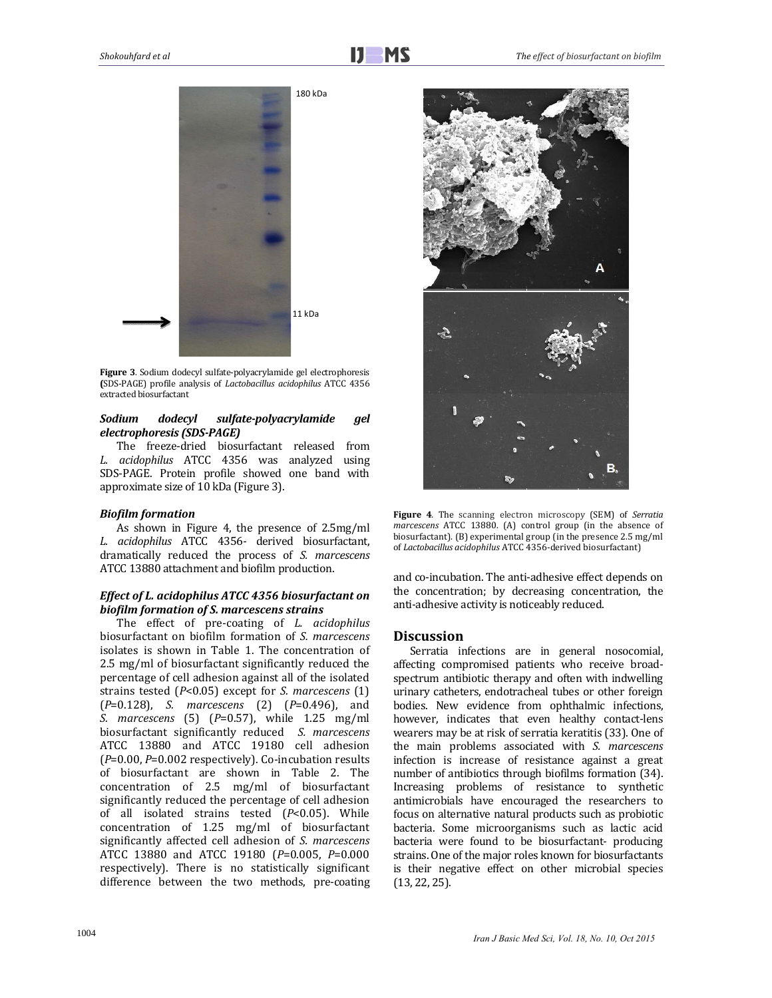

Figure 3. Sodium dodecyl sulfate-polyacrylamide gel electrophoresis **(**SDS‐PAGE) profile analysis of *Lactobacillus acidophilus* ATCC 4356 extracted biosurfactant

#### *Sodium dodecyl sulfate‐polyacrylamide gel electrophoresis (SDS‐PAGE)*

The freeze-dried biosurfactant released from *L. acidophilus* ATCC 4356 was analyzed using SDS-PAGE. Protein profile showed one band with approximate size of 10 kDa (Figure 3).

#### *Biofilm formation*

As shown in Figure 4, the presence of 2.5mg/ml *L. acidophilus* ATCC 4356‐ derived biosurfactant, dramatically reduced the process of *S. marcescens* ATCC 13880 attachment and biofilm production.

## *Effect of L. acidophilus ATCC 4356 biosurfactant on biofilm formation of S. marcescens strains*

The effect of pre-coating of *L. acidophilus* biosurfactant on biofilm formation of *S. marcescens* isolates is shown in Table 1. The concentration of 2.5 mg/ml of biosurfactant significantly reduced the percentage of cell adhesion against all of the isolated strains tested (*P*<0.05) except for *S. marcescens* (1) (*P*=0.128), *S. marcescens* (2) (*P*=0.496), and *S. marcescens* (5) (*P*=0.57), while 1.25 mg/ml biosurfactant significantly reduced *S. marcescens* ATCC 13880 and ATCC 19180 cell adhesion ( $P=0.00$ ,  $P=0.002$  respectively). Co-incubation results of biosurfactant are shown in Table 2. The concentration of 2.5 mg/ml of biosurfactant significantly reduced the percentage of cell adhesion of all isolated strains tested (*P*<0.05). While concentration of  $1.25$  mg/ml of biosurfactant significantly affected cell adhesion of *S. marcescens* ATCC 13880 and ATCC 19180 (*P*=0.005, *P*=0.000 respectively). There is no statistically significant difference between the two methods, pre‐coating 



Figure 4. The scanning electron microscopy (SEM) of *Serratia marcescens* ATCC 13880. (A) control group (in the absence of biosurfactant).  $(B)$  experimental group (in the presence 2.5 mg/ml of Lactobacillus acidophilus ATCC 4356-derived biosurfactant)

and co-incubation. The anti-adhesive effect depends on the concentration; by decreasing concentration, the anti-adhesive activity is noticeably reduced.

## **Discussion**

Serratia infections are in general nosocomial, affecting compromised patients who receive broadspectrum antibiotic therapy and often with indwelling urinary catheters, endotracheal tubes or other foreign bodies. New evidence from ophthalmic infections, however, indicates that even healthy contact-lens wearers may be at risk of serratia keratitis (33). One of the main problems associated with *S. marcescens* infection is increase of resistance against a great number of antibiotics through biofilms formation (34). Increasing problems of resistance to synthetic antimicrobials have encouraged the researchers to focus on alternative natural products such as probiotic bacteria. Some microorganisms such as lactic acid bacteria were found to be biosurfactant- producing strains. One of the major roles known for biosurfactants is their negative effect on other microbial species  $(13, 22, 25)$ .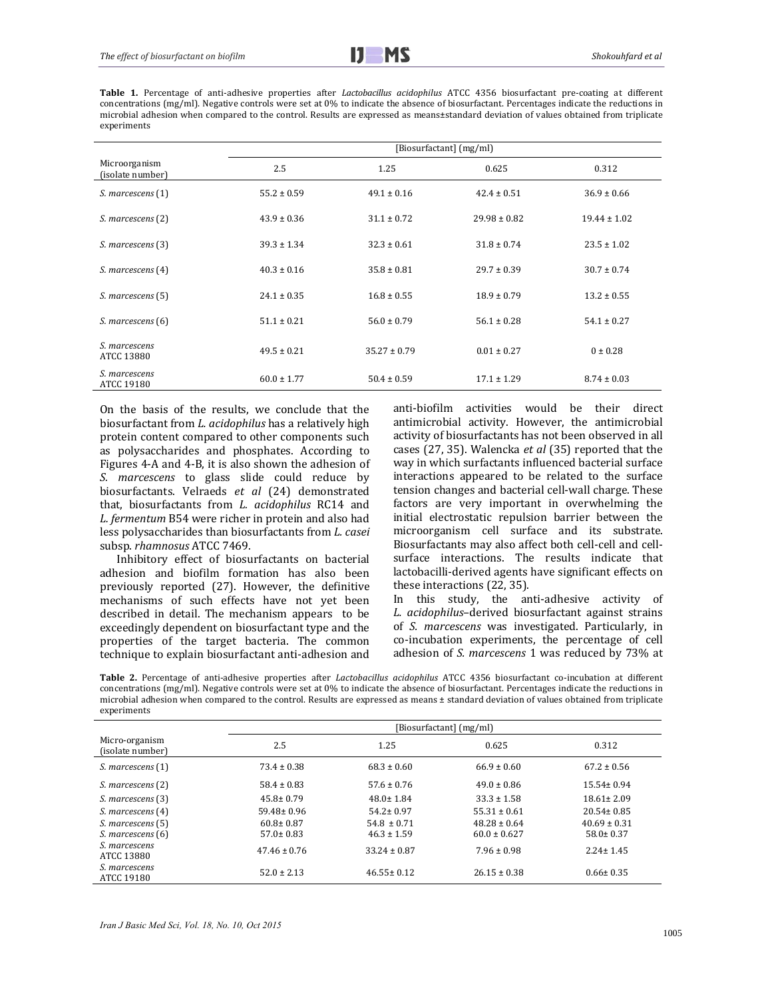Table 1. Percentage of anti-adhesive properties after *Lactobacillus acidophilus* ATCC 4356 biosurfactant pre-coating at different concentrations (mg/ml). Negative controls were set at 0% to indicate the absence of biosurfactant. Percentages indicate the reductions in microbial adhesion when compared to the control. Results are expressed as means±standard deviation of values obtained from triplicate experiments 

|                                   | [Biosurfactant] (mg/ml) |                  |                  |                  |  |
|-----------------------------------|-------------------------|------------------|------------------|------------------|--|
| Microorganism<br>(isolate number) | 2.5                     | 1.25             | 0.625            | 0.312            |  |
| S. marcescens (1)                 | $55.2 \pm 0.59$         | $49.1 \pm 0.16$  | $42.4 \pm 0.51$  | $36.9 \pm 0.66$  |  |
| S. marcescens (2)                 | $43.9 \pm 0.36$         | $31.1 \pm 0.72$  | $29.98 \pm 0.82$ | $19.44 \pm 1.02$ |  |
| S. marcescens (3)                 | $39.3 \pm 1.34$         | $32.3 \pm 0.61$  | $31.8 \pm 0.74$  | $23.5 \pm 1.02$  |  |
| S. marcescens (4)                 | $40.3 \pm 0.16$         | $35.8 \pm 0.81$  | $29.7 \pm 0.39$  | $30.7 \pm 0.74$  |  |
| S. marcescens (5)                 | $24.1 \pm 0.35$         | $16.8 \pm 0.55$  | $18.9 \pm 0.79$  | $13.2 \pm 0.55$  |  |
| S. marcescens (6)                 | $51.1 \pm 0.21$         | $56.0 \pm 0.79$  | $56.1 \pm 0.28$  | $54.1 \pm 0.27$  |  |
| S. marcescens<br>ATCC 13880       | $49.5 \pm 0.21$         | $35.27 \pm 0.79$ | $0.01 \pm 0.27$  | $0 \pm 0.28$     |  |
| S. marcescens<br>ATCC 19180       | $60.0 \pm 1.77$         | $50.4 \pm 0.59$  | $17.1 \pm 1.29$  | $8.74 \pm 0.03$  |  |

On the basis of the results, we conclude that the biosurfactant from *L. acidophilus* has a relatively high protein content compared to other components such as polysaccharides and phosphates. According to Figures 4-A and 4-B, it is also shown the adhesion of S. *marcescens* to glass slide could reduce by biosurfactants. Velraeds *et al* (24) demonstrated that, biosurfactants from *L. acidophilus* RC14 and L. *fermentum* B54 were richer in protein and also had less polysaccharides than biosurfactants from *L. casei* subsp. rhamnosus ATCC 7469.

Inhibitory effect of biosurfactants on bacterial adhesion and biofilm formation has also been previously reported (27). However, the definitive mechanisms of such effects have not yet been described in detail. The mechanism appears to be exceedingly dependent on biosurfactant type and the properties of the target bacteria. The common technique to explain biosurfactant anti-adhesion and anti‐biofilm activities would be their direct antimicrobial activity. However, the antimicrobial activity of biosurfactants has not been observed in all cases (27, 35). Walencka *et al* (35) reported that the way in which surfactants influenced bacterial surface interactions appeared to be related to the surface tension changes and bacterial cell-wall charge. These factors are very important in overwhelming the initial electrostatic repulsion barrier between the microorganism cell surface and its substrate. Biosurfactants may also affect both cell-cell and cellsurface interactions. The results indicate that lactobacilli-derived agents have significant effects on these interactions (22, 35).

In this study, the anti-adhesive activity of *L. acidophilus*–derived biosurfactant against strains of *S. marcescens* was investigated. Particularly, in co‐incubation experiments, the percentage of cell adhesion of *S. marcescens* 1 was reduced by 73% at

Table 2. Percentage of anti-adhesive properties after *Lactobacillus acidophilus* ATCC 4356 biosurfactant co-incubation at different concentrations (mg/ml). Negative controls were set at 0% to indicate the absence of biosurfactant. Percentages indicate the reductions in microbial adhesion when compared to the control. Results are expressed as means  $\pm$  standard deviation of values obtained from triplicate experiments 

|                                    | [Biosurfactant] (mg/ml) |                  |                  |                  |  |
|------------------------------------|-------------------------|------------------|------------------|------------------|--|
| Micro-organism<br>(isolate number) | 2.5                     | 1.25             | 0.625            | 0.312            |  |
| S. marcescens (1)                  | $73.4 \pm 0.38$         | $68.3 \pm 0.60$  | $66.9 \pm 0.60$  | $67.2 \pm 0.56$  |  |
| S. marcescens (2)                  | $58.4 \pm 0.83$         | $57.6 \pm 0.76$  | $49.0 \pm 0.86$  | $15.54 \pm 0.94$ |  |
| S. marcescens (3)                  | $45.8 \pm 0.79$         | $48.0 \pm 1.84$  | $33.3 \pm 1.58$  | $18.61 \pm 2.09$ |  |
| S. marcescens (4)                  | $59.48 \pm 0.96$        | $54.2 \pm 0.97$  | $55.31 \pm 0.61$ | $20.54 \pm 0.85$ |  |
| S. marcescens (5)                  | $60.8 \pm 0.87$         | $54.8 \pm 0.71$  | $48.28 \pm 0.64$ | $40.69 \pm 0.31$ |  |
| S. marcescens (6)                  | $57.0 \pm 0.83$         | $46.3 \pm 1.59$  | $60.0 \pm 0.627$ | $58.0 \pm 0.37$  |  |
| S. marcescens<br>ATCC 13880        | $47.46 \pm 0.76$        | $33.24 \pm 0.87$ | $7.96 \pm 0.98$  | $2.24 \pm 1.45$  |  |
| S. marcescens<br>ATCC 19180        | $52.0 \pm 2.13$         | $46.55 \pm 0.12$ | $26.15 \pm 0.38$ | $0.66 \pm 0.35$  |  |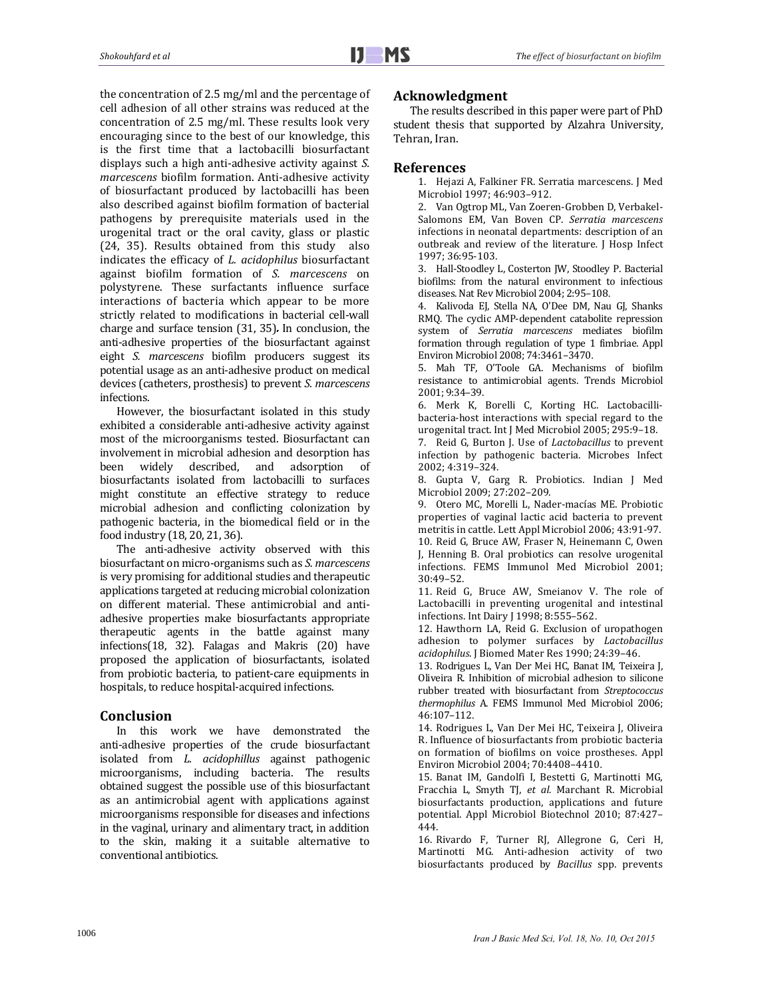the concentration of 2.5 mg/ml and the percentage of cell adhesion of all other strains was reduced at the concentration of  $2.5 \text{ mg/ml}$ . These results look very encouraging since to the best of our knowledge, this is the first time that a lactobacilli biosurfactant displays such a high anti-adhesive activity against *S*. *marcescens* biofilm formation. Anti-adhesive activity of biosurfactant produced by lactobacilli has been also described against biofilm formation of bacterial pathogens by prerequisite materials used in the urogenital tract or the oral cavity, glass or plastic (24, 35). Results obtained from this study also indicates the efficacy of *L. acidophilus* biosurfactant against biofilm formation of *S. marcescens* on polystyrene. These surfactants influence surface interactions of bacteria which appear to be more strictly related to modifications in bacterial cell-wall charge and surface tension  $(31, 35)$ . In conclusion, the anti-adhesive properties of the biosurfactant against eight *S. marcescens* biofilm producers suggest its potential usage as an anti-adhesive product on medical devices (catheters, prosthesis) to prevent *S. marcescens* infections. 

However, the biosurfactant isolated in this study exhibited a considerable anti-adhesive activity against most of the microorganisms tested. Biosurfactant can involvement in microbial adhesion and desorption has been widely described, and adsorption of biosurfactants isolated from lactobacilli to surfaces might constitute an effective strategy to reduce microbial adhesion and conflicting colonization by pathogenic bacteria, in the biomedical field or in the food industry (18, 20, 21, 36).

The anti-adhesive activity observed with this biosurfactant on micro‐organisms such as *S. marcescens* is very promising for additional studies and therapeutic applications targeted at reducing microbial colonization on different material. These antimicrobial and antiadhesive properties make biosurfactants appropriate therapeutic agents in the battle against many infections(18, 32). Falagas and Makris (20) have proposed the application of biosurfactants, isolated from probiotic bacteria, to patient-care equipments in hospitals, to reduce hospital-acquired infections.

## **Conclusion**

In this work we have demonstrated the anti-adhesive properties of the crude biosurfactant isolated from *L. acidophillus* against pathogenic microorganisms, including bacteria. The results obtained suggest the possible use of this biosurfactant as an antimicrobial agent with applications against microorganisms responsible for diseases and infections in the vaginal, urinary and alimentary tract, in addition to the skin, making it a suitable alternative to conventional antibiotics.

## **Acknowledgment**

The results described in this paper were part of PhD student thesis that supported by Alzahra University, Tehran, Iran.

## **References**

1. Hejazi A, Falkiner FR. Serratia marcescens. J Med Microbiol 1997; 46:903-912.

2. Van Ogtrop ML, Van Zoeren-Grobben D, Verbakel-Salomons EM, Van Boven CP. *Serratia marcescens* infections in neonatal departments: description of an outbreak and review of the literature. J Hosp Infect 1997; 36:95‐103.

3. Hall-Stoodley L, Costerton JW, Stoodley P. Bacterial biofilms: from the natural environment to infectious diseases. Nat Rev Microbiol 2004; 2:95-108.

4. Kalivoda EJ, Stella NA, O'Dee DM, Nau GJ, Shanks RMQ. The cyclic AMP-dependent catabolite repression system of *Serratia marcescens* mediates biofilm formation through regulation of type 1 fimbriae. Appl Environ Microbiol 2008; 74:3461-3470.

5. Mah TF, O'Toole GA. Mechanisms of biofilm resistance to antimicrobial agents. Trends Microbiol 2001; 9:34–39. 

6. Merk K, Borelli C, Korting HC. Lactobacillibacteria-host interactions with special regard to the urogenital tract. Int J Med Microbiol 2005; 295:9-18.

7. Reid G, Burton J. Use of *Lactobacillus* to prevent infection by pathogenic bacteria. Microbes Infect 2002; 4:319–324. 

8. Gupta V, Garg R. Probiotics. Indian J Med Microbiol 2009; 27:202-209.

9. Otero MC, Morelli L, Nader-macías ME. Probiotic properties of vaginal lactic acid bacteria to prevent metritis in cattle. Lett Appl Microbiol 2006; 43:91-97. 10. Reid G, Bruce AW, Fraser N, Heinemann C, Owen J, Henning B. Oral probiotics can resolve urogenital infections. FEMS Immunol Med Microbiol 2001; 30:49–52. 

11. Reid G, Bruce AW, Smeianov V. The role of Lactobacilli in preventing urogenital and intestinal infections. Int Dairy J 1998; 8:555-562.

12. Hawthorn LA, Reid G. Exclusion of uropathogen adhesion to polymer surfaces by *Lactobacillus* acidophilus. J Biomed Mater Res 1990; 24:39-46.

13. Rodrigues L, Van Der Mei HC, Banat IM, Teixeira J, Oliveira R. Inhibition of microbial adhesion to silicone rubber treated with biosurfactant from *Streptococcus thermophilus* A. FEMS Immunol Med Microbiol 2006; 46:107–112. 

14. Rodrigues L, Van Der Mei HC, Teixeira J, Oliveira R. Influence of biosurfactants from probiotic bacteria on formation of biofilms on voice prostheses. Appl Environ Microbiol 2004; 70:4408-4410.

15. Banat IM, Gandolfi I, Bestetti G, Martinotti MG, Fracchia L, Smyth TJ, et al. Marchant R. Microbial biosurfactants production, applications and future potential. Appl Microbiol Biotechnol 2010; 87:427-444. 

16. Rivardo F, Turner RJ, Allegrone G, Ceri H, Martinotti MG. Anti-adhesion activity of two biosurfactants produced by *Bacillus* spp. prevents